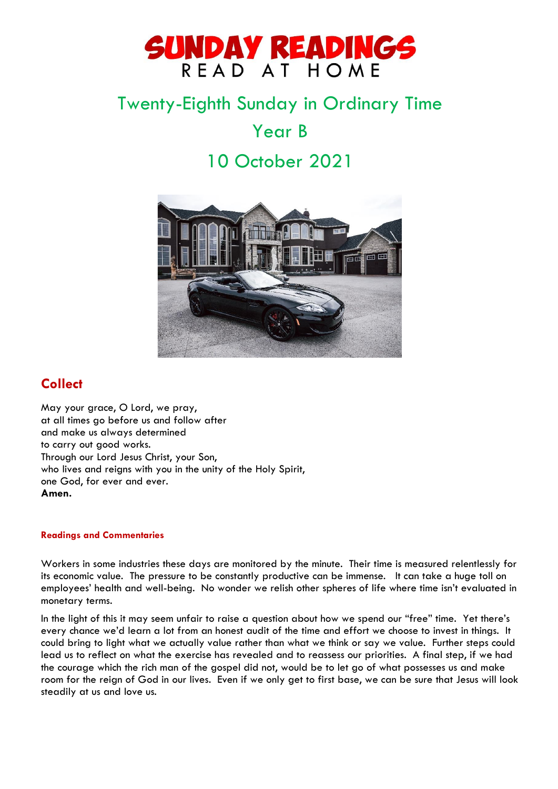

# Twenty-Eighth Sunday in Ordinary Time Year B 10 October 2021



## **Collect**

May your grace, O Lord, we pray, at all times go before us and follow after and make us always determined to carry out good works. Through our Lord Jesus Christ, your Son, who lives and reigns with you in the unity of the Holy Spirit, one God, for ever and ever. **Amen.**

### **Readings and Commentaries**

Workers in some industries these days are monitored by the minute. Their time is measured relentlessly for its economic value. The pressure to be constantly productive can be immense. It can take a huge toll on employees' health and well-being. No wonder we relish other spheres of life where time isn't evaluated in monetary terms.

In the light of this it may seem unfair to raise a question about how we spend our "free" time. Yet there's every chance we'd learn a lot from an honest audit of the time and effort we choose to invest in things. It could bring to light what we actually value rather than what we think or say we value. Further steps could lead us to reflect on what the exercise has revealed and to reassess our priorities. A final step, if we had the courage which the rich man of the gospel did not, would be to let go of what possesses us and make room for the reign of God in our lives. Even if we only get to first base, we can be sure that Jesus will look steadily at us and love us.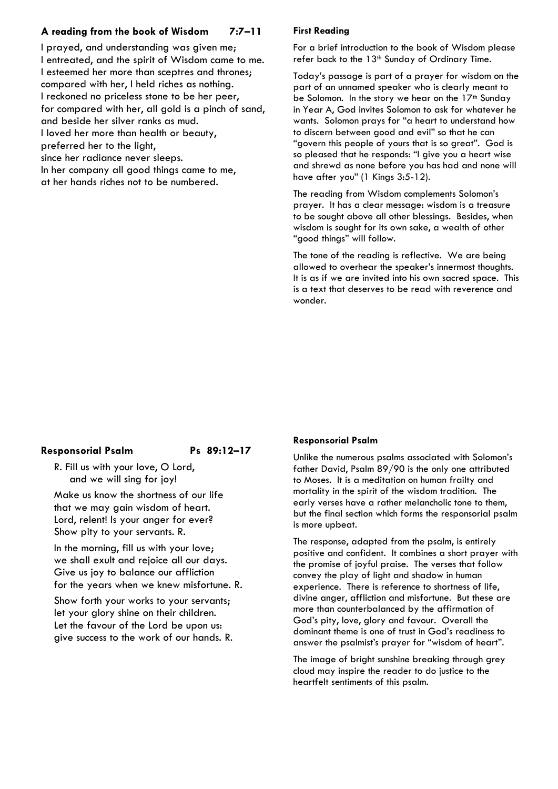### **A reading from the book of Wisdom 7:7–11**

I prayed, and understanding was given me; I entreated, and the spirit of Wisdom came to me. I esteemed her more than sceptres and thrones; compared with her, I held riches as nothing. I reckoned no priceless stone to be her peer, for compared with her, all gold is a pinch of sand, and beside her silver ranks as mud. I loved her more than health or beauty, preferred her to the light, since her radiance never sleeps. In her company all good things came to me, at her hands riches not to be numbered.

#### **First Reading**

For a brief introduction to the book of Wisdom please refer back to the 13<sup>th</sup> Sunday of Ordinary Time.

Today's passage is part of a prayer for wisdom on the part of an unnamed speaker who is clearly meant to be Solomon. In the story we hear on the 17<sup>th</sup> Sunday in Year A, God invites Solomon to ask for whatever he wants. Solomon prays for "a heart to understand how to discern between good and evil" so that he can "govern this people of yours that is so great". God is so pleased that he responds: "I give you a heart wise and shrewd as none before you has had and none will have after you" (1 Kings 3:5-12).

The reading from Wisdom complements Solomon's prayer. It has a clear message: wisdom is a treasure to be sought above all other blessings. Besides, when wisdom is sought for its own sake, a wealth of other "good things" will follow.

The tone of the reading is reflective. We are being allowed to overhear the speaker's innermost thoughts. It is as if we are invited into his own sacred space. This is a text that deserves to be read with reverence and wonder.

#### **Responsorial Psalm Ps 89:12–17**

R. Fill us with your love, O Lord, and we will sing for joy!

Make us know the shortness of our life that we may gain wisdom of heart. Lord, relent! Is your anger for ever? Show pity to your servants. R.

In the morning, fill us with your love; we shall exult and rejoice all our days. Give us joy to balance our affliction for the years when we knew misfortune. R.

Show forth your works to your servants; let your glory shine on their children. Let the favour of the Lord be upon us: give success to the work of our hands. R.

#### **Responsorial Psalm**

Unlike the numerous psalms associated with Solomon's father David, Psalm 89/90 is the only one attributed to Moses. It is a meditation on human frailty and mortality in the spirit of the wisdom tradition. The early verses have a rather melancholic tone to them, but the final section which forms the responsorial psalm is more upbeat.

The response, adapted from the psalm, is entirely positive and confident. It combines a short prayer with the promise of joyful praise. The verses that follow convey the play of light and shadow in human experience. There is reference to shortness of life, divine anger, affliction and misfortune. But these are more than counterbalanced by the affirmation of God's pity, love, glory and favour. Overall the dominant theme is one of trust in God's readiness to answer the psalmist's prayer for "wisdom of heart".

The image of bright sunshine breaking through grey cloud may inspire the reader to do justice to the heartfelt sentiments of this psalm.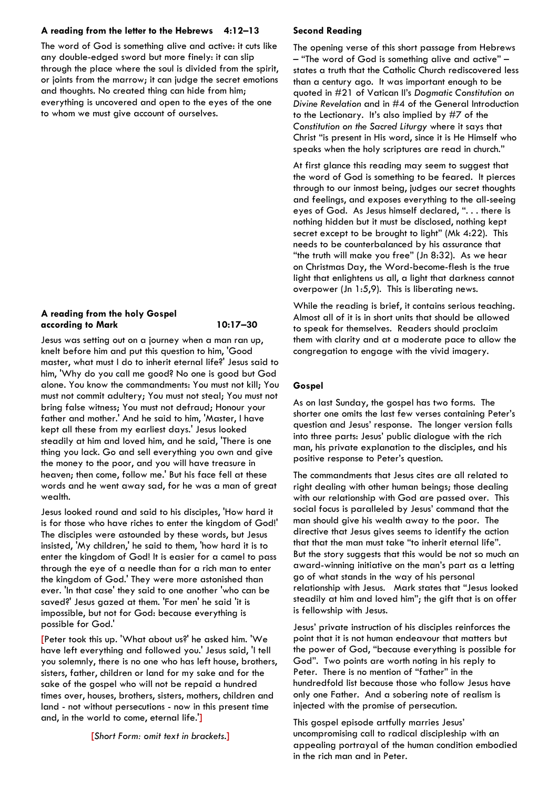#### **A reading from the letter to the Hebrews 4:12–13**

The word of God is something alive and active: it cuts like any double-edged sword but more finely: it can slip through the place where the soul is divided from the spirit, or joints from the marrow; it can judge the secret emotions and thoughts. No created thing can hide from him; everything is uncovered and open to the eyes of the one to whom we must give account of ourselves.

#### **A reading from the holy Gospel according to Mark 10:17–30**

Jesus was setting out on a journey when a man ran up, knelt before him and put this question to him, 'Good master, what must I do to inherit eternal life?' Jesus said to him, 'Why do you call me good? No one is good but God alone. You know the commandments: You must not kill; You must not commit adultery; You must not steal; You must not bring false witness; You must not defraud; Honour your father and mother.' And he said to him, 'Master, I have kept all these from my earliest days.' Jesus looked steadily at him and loved him, and he said, 'There is one thing you lack. Go and sell everything you own and give the money to the poor, and you will have treasure in heaven; then come, follow me.' But his face fell at these words and he went away sad, for he was a man of great wealth.

Jesus looked round and said to his disciples, 'How hard it is for those who have riches to enter the kingdom of God!' The disciples were astounded by these words, but Jesus insisted, 'My children,' he said to them, 'how hard it is to enter the kingdom of God! It is easier for a camel to pass through the eye of a needle than for a rich man to enter the kingdom of God.' They were more astonished than ever. 'In that case' they said to one another 'who can be saved?' Jesus gazed at them. 'For men' he said 'it is impossible, but not for God: because everything is possible for God.'

**[**Peter took this up. 'What about us?' he asked him. 'We have left everything and followed you.' Jesus said, 'I tell you solemnly, there is no one who has left house, brothers, sisters, father, children or land for my sake and for the sake of the gospel who will not be repaid a hundred times over, houses, brothers, sisters, mothers, children and land - not without persecutions - now in this present time and, in the world to come, eternal life.'**]**

#### **[***Short Form: omit text in brackets.***]**

#### **Second Reading**

The opening verse of this short passage from Hebrews – "The word of God is something alive and active" – states a truth that the Catholic Church rediscovered less than a century ago. It was important enough to be quoted in #21 of Vatican II's *Dogmatic Constitution on Divine Revelation* and in #4 of the General Introduction to the Lectionary. It's also implied by #7 of the *Constitution on the Sacred Liturgy* where it says that Christ "is present in His word, since it is He Himself who speaks when the holy scriptures are read in church."

At first glance this reading may seem to suggest that the word of God is something to be feared. It pierces through to our inmost being, judges our secret thoughts and feelings, and exposes everything to the all-seeing eyes of God. As Jesus himself declared, ". . . there is nothing hidden but it must be disclosed, nothing kept secret except to be brought to light" (Mk 4:22). This needs to be counterbalanced by his assurance that "the truth will make you free" (Jn 8:32). As we hear on Christmas Day, the Word-become-flesh is the true light that enlightens us all, a light that darkness cannot overpower (Jn 1:5,9). This is liberating news.

While the reading is brief, it contains serious teaching. Almost all of it is in short units that should be allowed to speak for themselves. Readers should proclaim them with clarity and at a moderate pace to allow the congregation to engage with the vivid imagery.

#### **Gospel**

As on last Sunday, the gospel has two forms. The shorter one omits the last few verses containing Peter's question and Jesus' response. The longer version falls into three parts: Jesus' public dialogue with the rich man, his private explanation to the disciples, and his positive response to Peter's question.

The commandments that Jesus cites are all related to right dealing with other human beings; those dealing with our relationship with God are passed over. This social focus is paralleled by Jesus' command that the man should give his wealth away to the poor. The directive that Jesus gives seems to identify the action that that the man must take "to inherit eternal life". But the story suggests that this would be not so much an award-winning initiative on the man's part as a letting go of what stands in the way of his personal relationship with Jesus. Mark states that "Jesus looked steadily at him and loved him"; the gift that is on offer is fellowship with Jesus.

Jesus' private instruction of his disciples reinforces the point that it is not human endeavour that matters but the power of God, "because everything is possible for God". Two points are worth noting in his reply to Peter. There is no mention of "father" in the hundredfold list because those who follow Jesus have only one Father. And a sobering note of realism is injected with the promise of persecution.

This gospel episode artfully marries Jesus' uncompromising call to radical discipleship with an appealing portrayal of the human condition embodied in the rich man and in Peter.